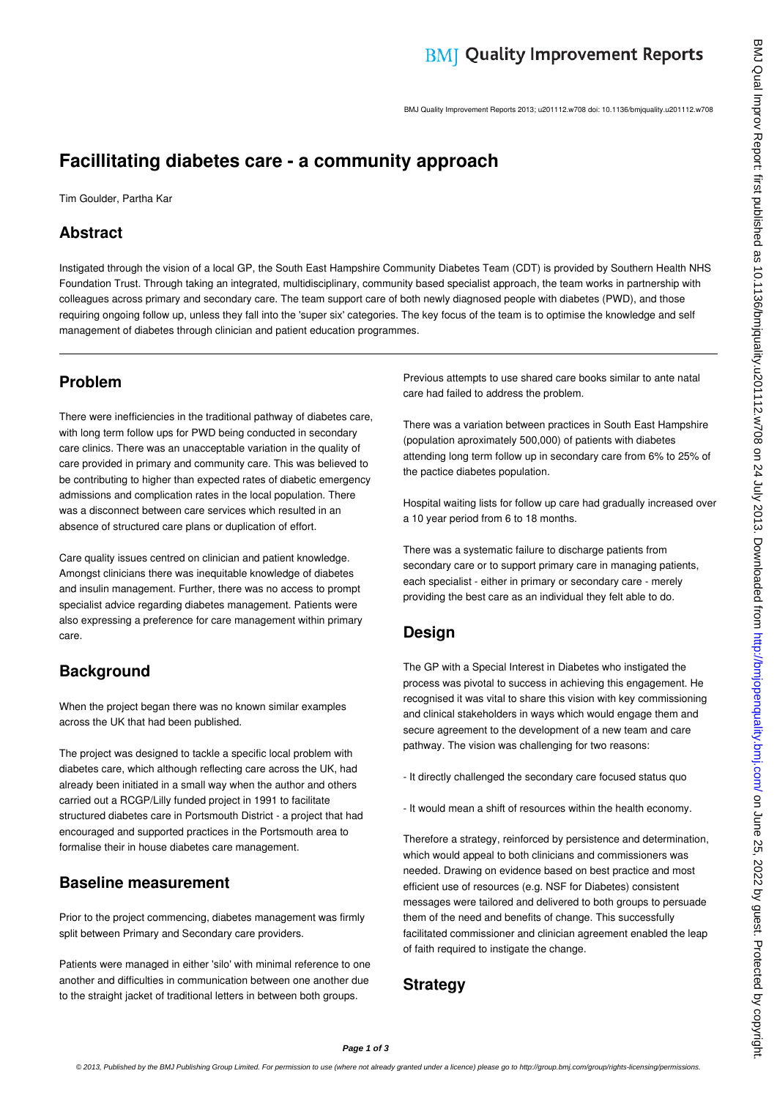BMJ Quality Improvement Reports 2013; u201112.w708 doi: 10.1136/bmjquality.u201112.w708

# **Facillitating diabetes care - a community approach**

Tim Goulder, Partha Kar

## **Abstract**

Instigated through the vision of a local GP, the South East Hampshire Community Diabetes Team (CDT) is provided by Southern Health NHS Foundation Trust. Through taking an integrated, multidisciplinary, community based specialist approach, the team works in partnership with colleagues across primary and secondary care. The team support care of both newly diagnosed people with diabetes (PWD), and those requiring ongoing follow up, unless they fall into the 'super six' categories. The key focus of the team is to optimise the knowledge and self management of diabetes through clinician and patient education programmes.

# **Problem**

There were inefficiencies in the traditional pathway of diabetes care, with long term follow ups for PWD being conducted in secondary care clinics. There was an unacceptable variation in the quality of care provided in primary and community care. This was believed to be contributing to higher than expected rates of diabetic emergency admissions and complication rates in the local population. There was a disconnect between care services which resulted in an absence of structured care plans or duplication of effort.

Care quality issues centred on clinician and patient knowledge. Amongst clinicians there was inequitable knowledge of diabetes and insulin management. Further, there was no access to prompt specialist advice regarding diabetes management. Patients were also expressing a preference for care management within primary care.

# **Background**

When the project began there was no known similar examples across the UK that had been published.

The project was designed to tackle a specific local problem with diabetes care, which although reflecting care across the UK, had already been initiated in a small way when the author and others carried out a RCGP/Lilly funded project in 1991 to facilitate structured diabetes care in Portsmouth District - a project that had encouraged and supported practices in the Portsmouth area to formalise their in house diabetes care management.

## **Baseline measurement**

Prior to the project commencing, diabetes management was firmly split between Primary and Secondary care providers.

Patients were managed in either 'silo' with minimal reference to one another and difficulties in communication between one another due to the straight jacket of traditional letters in between both groups.

Previous attempts to use shared care books similar to ante natal care had failed to address the problem.

There was a variation between practices in South East Hampshire (population aproximately 500,000) of patients with diabetes attending long term follow up in secondary care from 6% to 25% of the pactice diabetes population.

Hospital waiting lists for follow up care had gradually increased over a 10 year period from 6 to 18 months.

There was a systematic failure to discharge patients from secondary care or to support primary care in managing patients, each specialist - either in primary or secondary care - merely providing the best care as an individual they felt able to do.

# **Design**

The GP with a Special Interest in Diabetes who instigated the process was pivotal to success in achieving this engagement. He recognised it was vital to share this vision with key commissioning and clinical stakeholders in ways which would engage them and secure agreement to the development of a new team and care pathway. The vision was challenging for two reasons:

- It directly challenged the secondary care focused status quo
- It would mean a shift of resources within the health economy.

Therefore a strategy, reinforced by persistence and determination, which would appeal to both clinicians and commissioners was needed. Drawing on evidence based on best practice and most efficient use of resources (e.g. NSF for Diabetes) consistent messages were tailored and delivered to both groups to persuade them of the need and benefits of change. This successfully facilitated commissioner and clinician agreement enabled the leap of faith required to instigate the change.

### **Strategy**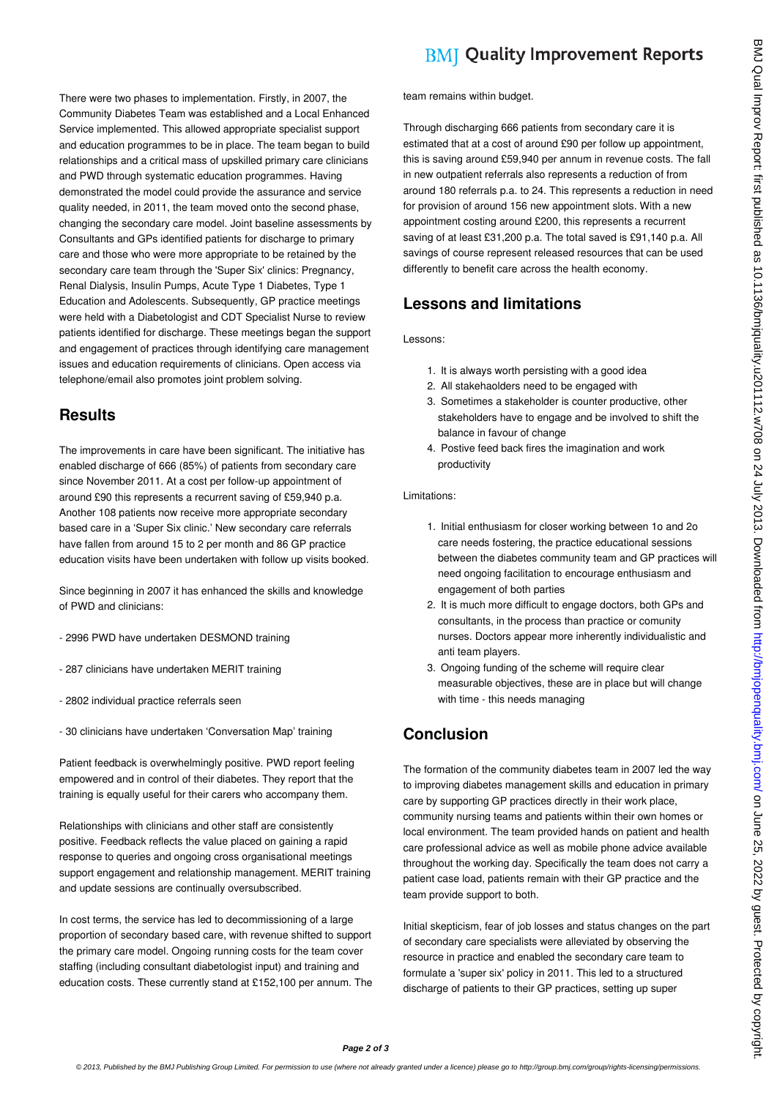There were two phases to implementation. Firstly, in 2007, the Community Diabetes Team was established and a Local Enhanced Service implemented. This allowed appropriate specialist support and education programmes to be in place. The team began to build relationships and a critical mass of upskilled primary care clinicians and PWD through systematic education programmes. Having demonstrated the model could provide the assurance and service quality needed, in 2011, the team moved onto the second phase, changing the secondary care model. Joint baseline assessments by Consultants and GPs identified patients for discharge to primary care and those who were more appropriate to be retained by the secondary care team through the 'Super Six' clinics: Pregnancy, Renal Dialysis, Insulin Pumps, Acute Type 1 Diabetes, Type 1 Education and Adolescents. Subsequently, GP practice meetings were held with a Diabetologist and CDT Specialist Nurse to review patients identified for discharge. These meetings began the support and engagement of practices through identifying care management issues and education requirements of clinicians. Open access via

## **Results**

The improvements in care have been significant. The initiative has enabled discharge of 666 (85%) of patients from secondary care since November 2011. At a cost per follow-up appointment of around £90 this represents a recurrent saving of £59,940 p.a. Another 108 patients now receive more appropriate secondary based care in a 'Super Six clinic.' New secondary care referrals have fallen from around 15 to 2 per month and 86 GP practice education visits have been undertaken with follow up visits booked.

Since beginning in 2007 it has enhanced the skills and knowledge of PWD and clinicians:

- 2996 PWD have undertaken DESMOND training

telephone/email also promotes joint problem solving.

- 287 clinicians have undertaken MERIT training
- 2802 individual practice referrals seen
- 30 clinicians have undertaken 'Conversation Map' training

Patient feedback is overwhelmingly positive. PWD report feeling empowered and in control of their diabetes. They report that the training is equally useful for their carers who accompany them.

Relationships with clinicians and other staff are consistently positive. Feedback reflects the value placed on gaining a rapid response to queries and ongoing cross organisational meetings support engagement and relationship management. MERIT training and update sessions are continually oversubscribed.

In cost terms, the service has led to decommissioning of a large proportion of secondary based care, with revenue shifted to support the primary care model. Ongoing running costs for the team cover staffing (including consultant diabetologist input) and training and education costs. These currently stand at £152,100 per annum. The

# **BMI Quality Improvement Reports**

team remains within budget.

Through discharging 666 patients from secondary care it is estimated that at a cost of around £90 per follow up appointment, this is saving around £59,940 per annum in revenue costs. The fall in new outpatient referrals also represents a reduction of from around 180 referrals p.a. to 24. This represents a reduction in need for provision of around 156 new appointment slots. With a new appointment costing around £200, this represents a recurrent saving of at least £31,200 p.a. The total saved is £91,140 p.a. All savings of course represent released resources that can be used differently to benefit care across the health economy.

### **Lessons and limitations**

Lessons:

- 1. It is always worth persisting with a good idea
- 2. All stakehaolders need to be engaged with
- 3. Sometimes a stakeholder is counter productive, other stakeholders have to engage and be involved to shift the balance in favour of change
- 4. Postive feed back fires the imagination and work productivity

#### Limitations:

- 1. Initial enthusiasm for closer working between 1o and 2o care needs fostering, the practice educational sessions between the diabetes community team and GP practices will need ongoing facilitation to encourage enthusiasm and engagement of both parties
- 2. It is much more difficult to engage doctors, both GPs and consultants, in the process than practice or comunity nurses. Doctors appear more inherently individualistic and anti team players.
- 3. Ongoing funding of the scheme will require clear measurable objectives, these are in place but will change with time - this needs managing

## **Conclusion**

The formation of the community diabetes team in 2007 led the way to improving diabetes management skills and education in primary care by supporting GP practices directly in their work place, community nursing teams and patients within their own homes or local environment. The team provided hands on patient and health care professional advice as well as mobile phone advice available throughout the working day. Specifically the team does not carry a patient case load, patients remain with their GP practice and the team provide support to both.

Initial skepticism, fear of job losses and status changes on the part of secondary care specialists were alleviated by observing the resource in practice and enabled the secondary care team to formulate a 'super six' policy in 2011. This led to a structured discharge of patients to their GP practices, setting up super